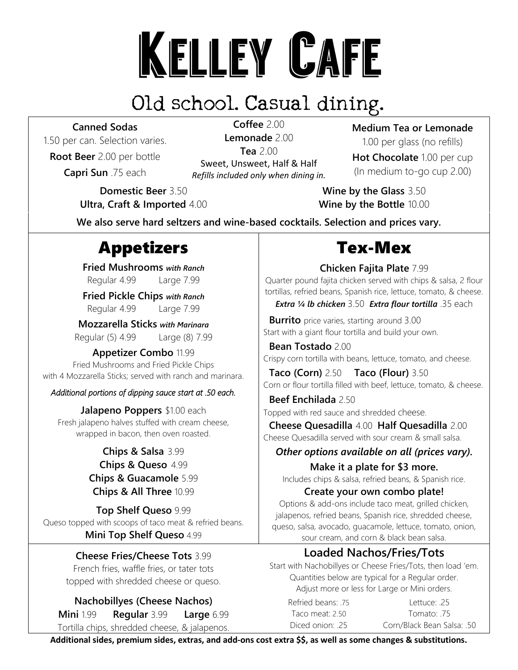# KELLEY CAFE<br>Old school. Casual dining.

### **Canned Sodas**

1.50 per can. Selection varies.

**Root Beer** 2.00 per bottle **Capri Sun** .75 each

**Coffee** 2.00 **Lemonade** 2.00 **Tea** 2.00 Sweet, Unsweet, Half & Half *Refills included only when dining in.*

**Domestic Beer** 3.50 **Ultra, Craft & Imported** 4.00 **Medium Tea or Lemonade** 1.00 per glass (no refills)

**Hot Chocolate** 1.00 per cup (In medium to-go cup 2.00)

**Wine by the Glass** 3.50 **Wine by the Bottle** 10.00

**We also serve hard seltzers and wine-based cocktails. Selection and prices vary.**

# Appetizers Tex-Mex

**Fried Mushrooms** *with Ranch* Regular 4.99 Large 7.99

**Fried Pickle Chips** *with Ranch* Regular 4.99 Large 7.99

**Mozzarella Sticks** *with Marinara* Regular (5) 4.99 Large (8) 7.99

**Appetizer Combo** 11.99 Fried Mushrooms and Fried Pickle Chips with 4 Mozzarella Sticks; served with ranch and marinara.

### *Additional portions of dipping sauce start at .50 each.*

**Jalapeno Poppers** \$1.00 each Fresh jalapeno halves stuffed with cream cheese, wrapped in bacon, then oven roasted.

### **Chips & Salsa** 3.99 **Chips & Queso** 4.99 **Chips & Guacamole** 5.99 **Chips & All Three** 10.99

**Top Shelf Queso** 9.99 Queso topped with scoops of taco meat & refried beans. **Mini Top Shelf Queso** 4.99

**Cheese Fries/Cheese Tots** 3.99

French fries, waffle fries, or tater tots topped with shredded cheese or queso.

**Nachobillyes (Cheese Nachos) Mini** 1.99 **Regular** 3.99 **Large** 6.99 Tortilla chips, shredded cheese, & jalapenos.

**Chicken Fajita Plate** 7.99

Quarter pound fajita chicken served with chips & salsa, 2 flour tortillas, refried beans, Spanish rice, lettuce, tomato, & cheese.

*Extra ¼ lb chicken* 3.50 *Extra flour tortilla* .35 each

**Burrito** price varies, starting around 3.00 Start with a giant flour tortilla and build your own.

 **Bean Tostado** 2.00 Crispy corn tortilla with beans, lettuce, tomato, and cheese.

 **Taco (Corn)** 2.50 **Taco (Flour)** 3.50 Corn or flour tortilla filled with beef, lettuce, tomato, & cheese.

 **Beef Enchilada** 2.50 Topped with red sauce and shredded cheese.

 **Cheese Quesadilla** 4.00 **Half Quesadilla** 2.00 Cheese Quesadilla served with sour cream & small salsa.

### *Other options available on all (prices vary).*

**Make it a plate for \$3 more.** Includes chips & salsa, refried beans, & Spanish rice.

**Create your own combo plate!**

Options & add-ons include taco meat, grilled chicken, jalapenos, refried beans, Spanish rice, shredded cheese, queso, salsa, avocado, guacamole, lettuce, tomato, onion, sour cream, and corn & black bean salsa.

### **Loaded Nachos/Fries/Tots**

Start with Nachobillyes or Cheese Fries/Tots, then load 'em. Quantities below are typical for a Regular order. Adjust more or less for Large or Mini orders.

Refried beans: .75 Lettuce: .25 Taco meat: 2.50 Tomato: .75 Diced onion: .25 Corn/Black Bean Salsa: .50

**Additional sides, premium sides, extras, and add-ons cost extra \$\$, as well as some changes & substitutions.**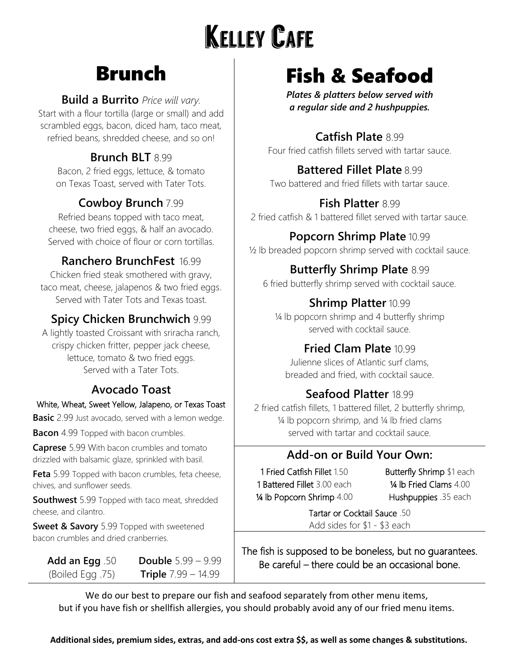# **KELLEY CAFE**

# Brunch

### **Build a Burrito** *Price will vary.*

Start with a flour tortilla (large or small) and add scrambled eggs, bacon, diced ham, taco meat, refried beans, shredded cheese, and so on!

### **Brunch BLT** 8.99

Bacon, 2 fried eggs, lettuce, & tomato on Texas Toast, served with Tater Tots.

### **Cowboy Brunch** 7.99

Refried beans topped with taco meat, cheese, two fried eggs, & half an avocado. Served with choice of flour or corn tortillas.

### **Ranchero BrunchFest** 16.99

Chicken fried steak smothered with gravy, taco meat, cheese, jalapenos & two fried eggs. Served with Tater Tots and Texas toast.

### **Spicy Chicken Brunchwich** 9.99

A lightly toasted Croissant with sriracha ranch, crispy chicken fritter, pepper jack cheese, lettuce, tomato & two fried eggs. Served with a Tater Tots.

### **Avocado Toast**

### White, Wheat, Sweet Yellow, Jalapeno, or Texas Toast

**Basic** 2.99 Just avocado, served with a lemon wedge.

**Bacon** 4.99 Topped with bacon crumbles.

**Caprese** 5.99 With bacon crumbles and tomato drizzled with balsamic glaze, sprinkled with basil.

**Feta** 5.99 Topped with bacon crumbles, feta cheese, chives, and sunflower seeds.

**Southwest** 5.99 Topped with taco meat, shredded cheese, and cilantro.

> **Double** 5.99 – 9.99 **Triple** 7.99 – 14.99

**Sweet & Savory** 5.99 Topped with sweetened bacon crumbles and dried cranberries.

**Add an Egg** .50 (Boiled Egg .75)

# Fish & Seafood

*Plates & platters below served with a regular side and 2 hushpuppies.*

### **Catfish Plate** 8.99

Four fried catfish fillets served with tartar sauce.

### **Battered Fillet Plate** 8.99

Two battered and fried fillets with tartar sauce.

### **Fish Platter** 8.99

2 fried catfish & 1 battered fillet served with tartar sauce.

### **Popcorn Shrimp Plate** 10.99

½ lb breaded popcorn shrimp served with cocktail sauce.

### **Butterfly Shrimp Plate** 8.99

6 fried butterfly shrimp served with cocktail sauce.

### **Shrimp Platter** 10.99

¼ lb popcorn shrimp and 4 butterfly shrimp served with cocktail sauce.

### **Fried Clam Plate** 10.99

Julienne slices of Atlantic surf clams, breaded and fried, with cocktail sauce.

### **Seafood Platter** 18.99

2 fried catfish fillets, 1 battered fillet, 2 butterfly shrimp, ¼ lb popcorn shrimp, and ¼ lb fried clams served with tartar and cocktail sauce.

### **Add-on or Build Your Own:**

1 Fried Catfish Fillet 1.50 1 Battered Fillet 3.00 each ¼ lb Popcorn Shrimp 4.00 Butterfly Shrimp \$1 each ¼ lb Fried Clams 4.00 Hushpuppies .35 each

Tartar or Cocktail Sauce .50 Add sides for \$1 - \$3 each

The fish is supposed to be boneless, but no guarantees. Be careful – there could be an occasional bone.

We do our best to prepare our fish and seafood separately from other menu items, but if you have fish or shellfish allergies, you should probably avoid any of our fried menu items.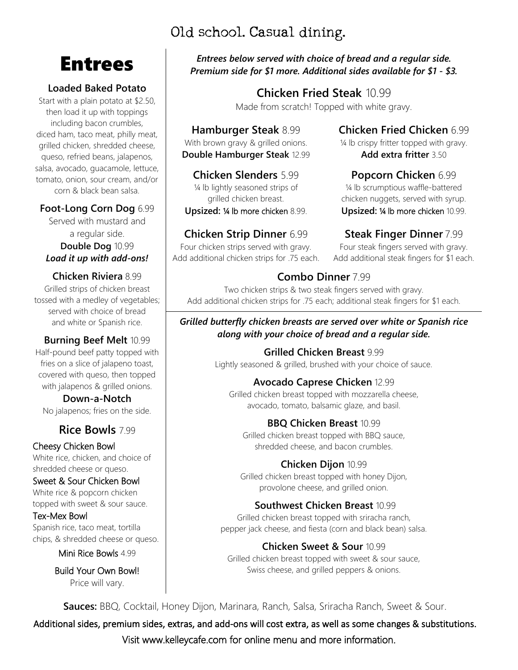### Old school. Casual dining.

## Entrees

### **Loaded Baked Potato**

Start with a plain potato at \$2.50, then load it up with toppings including bacon crumbles, diced ham, taco meat, philly meat, grilled chicken, shredded cheese, queso, refried beans, jalapenos, salsa, avocado, guacamole, lettuce, tomato, onion, sour cream, and/or corn & black bean salsa.

### **Foot-Long Corn Dog** 6.99

Served with mustard and a regular side. **Double Dog** 10.99 *Load it up with add-ons!*

### **Chicken Riviera** 8.99 Grilled strips of chicken breast

tossed with a medley of vegetables; served with choice of bread and white or Spanish rice.

### **Burning Beef Melt** 10.99

Half-pound beef patty topped with fries on a slice of jalapeno toast, covered with queso, then topped with jalapenos & grilled onions.

**Down-a-Notch** No jalapenos; fries on the side.

### **Rice Bowls** 7.99

Cheesy Chicken Bowl White rice, chicken, and choice of shredded cheese or queso.

### Sweet & Sour Chicken Bowl

White rice & popcorn chicken topped with sweet & sour sauce.

### Tex-Mex Bowl

Spanish rice, taco meat, tortilla chips, & shredded cheese or queso.

Mini Rice Bowls 4.99

Build Your Own Bowl! Price will vary.

*Entrees below served with choice of bread and a regular side. Premium side for \$1 more. Additional sides available for \$1 - \$3.*

### **Chicken Fried Steak** 10.99

Made from scratch! Topped with white gravy.

### **Hamburger Steak** 8.99

With brown gravy & grilled onions. **Double Hamburger Steak** 12.99

**Chicken Slenders** 5.99 1/4 lb lightly seasoned strips of grilled chicken breast.

**Upsized:** ¼ lb more chicken 8.99.

### **Chicken Strip Dinner** 6.99

Four chicken strips served with gravy. Add additional chicken strips for .75 each. **Chicken Fried Chicken** 6.99

¼ lb crispy fritter topped with gravy. **Add extra fritter** 3.50

### **Popcorn Chicken** 6.99

¼ lb scrumptious waffle-battered chicken nuggets, served with syrup. **Upsized:** ¼ lb more chicken 10.99.

### **Steak Finger Dinner** 7.99

Four steak fingers served with gravy. Add additional steak fingers for \$1 each.

### **Combo Dinner** 7.99

Two chicken strips & two steak fingers served with gravy. Add additional chicken strips for .75 each; additional steak fingers for \$1 each.

### *Grilled butterfly chicken breasts are served over white or Spanish rice along with your choice of bread and a regular side.*

**Grilled Chicken Breast** 9.99 Lightly seasoned & grilled, brushed with your choice of sauce.

### **Avocado Caprese Chicken** 12.99 Grilled chicken breast topped with mozzarella cheese,

avocado, tomato, balsamic glaze, and basil.

### **BBQ Chicken Breast** 10.99

Grilled chicken breast topped with BBQ sauce, shredded cheese, and bacon crumbles.

### **Chicken Dijon** 10.99

Grilled chicken breast topped with honey Dijon, provolone cheese, and grilled onion.

### **Southwest Chicken Breast** 10.99

Grilled chicken breast topped with sriracha ranch, pepper jack cheese, and fiesta (corn and black bean) salsa.

### **Chicken Sweet & Sour** 10.99

Grilled chicken breast topped with sweet & sour sauce, Swiss cheese, and grilled peppers & onions.

**Sauces:** BBQ, Cocktail, Honey Dijon, Marinara, Ranch, Salsa, Sriracha Ranch, Sweet & Sour.

Visit [www.kelleycafe.com](http://www.kelleycafe.com/) for online menu and more information. Additional sides, premium sides, extras, and add-ons will cost extra, as well as some changes & substitutions.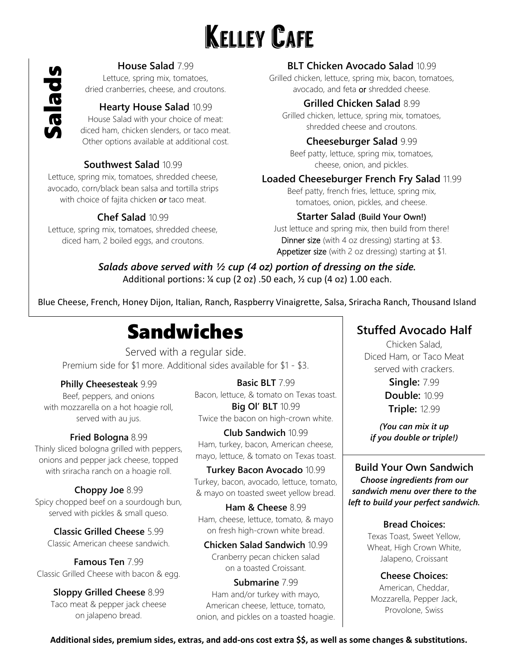# **KELLEY CAFE**

### **House Salad** 7.99

Lettuce, spring mix, tomatoes, dried cranberries, cheese, and croutons.

### **Hearty House Salad** 10.99

House Salad with your choice of meat: diced ham, chicken slenders, or taco meat. Other options available at additional cost.

### **Southwest Salad** 10.99

Lettuce, spring mix, tomatoes, shredded cheese, avocado, corn/black bean salsa and tortilla strips with choice of fajita chicken or taco meat.

### **Chef Salad** 10.99

Lettuce, spring mix, tomatoes, shredded cheese, diced ham, 2 boiled eggs, and croutons.

### **BLT Chicken Avocado Salad** 10.99

Grilled chicken, lettuce, spring mix, bacon, tomatoes, avocado, and feta or shredded cheese.

### **Grilled Chicken Salad** 8.99

Grilled chicken, lettuce, spring mix, tomatoes, shredded cheese and croutons.

### **Cheeseburger Salad** 9.99

Beef patty, lettuce, spring mix, tomatoes, cheese, onion, and pickles.

### **Loaded Cheeseburger French Fry Salad** 11.99

Beef patty, french fries, lettuce, spring mix, tomatoes, onion, pickles, and cheese.

### **Starter Salad (Build Your Own!)**

Just lettuce and spring mix, then build from there! Dinner size (with 4 oz dressing) starting at \$3. Appetizer size (with 2 oz dressing) starting at \$1.

**Additional sides, premium sides, premium sides, premium sides, premium sides, and a substitutions. The cost extra \$1, as well as the side of the cost extrass, and additions are extra \$5, as well as the source of the subst** *Salads above served with ½ cup (4 oz) portion of dressing on the side.* Additional portions: ¼ cup (2 oz) .50 each, ½ cup (4 oz) 1.00 each.

Blue Cheese, French, Honey Dijon, Italian, Ranch, Raspberry Vinaigrette, Salsa, Sriracha Ranch, Thousand Island

# Sandwiches

Served with a regular side. Premium side for \$1 more. Additional sides available for \$1 - \$3.

### **Philly Cheesesteak** 9.99

Beef, peppers, and onions with mozzarella on a hot hoagie roll, served with au jus.

### **Fried Bologna** 8.99

Thinly sliced bologna grilled with peppers, onions and pepper jack cheese, topped with sriracha ranch on a hoagie roll.

**Choppy Joe** 8.99 Spicy chopped beef on a sourdough bun, served with pickles & small queso.

**Classic Grilled Cheese** 5.99 Classic American cheese sandwich.

**Famous Ten** 7.99 Classic Grilled Cheese with bacon & egg.

**Sloppy Grilled Cheese** 8.99 Taco meat & pepper jack cheese on jalapeno bread.

**Basic BLT** 7.99 Bacon, lettuce, & tomato on Texas toast. **Big Ol' BLT** 10.99 Twice the bacon on high-crown white.

**Club Sandwich** 10.99 Ham, turkey, bacon, American cheese, mayo, lettuce, & tomato on Texas toast.

**Turkey Bacon Avocado** 10.99 Turkey, bacon, avocado, lettuce, tomato, & mayo on toasted sweet yellow bread.

**Ham & Cheese** 8.99 Ham, cheese, lettuce, tomato, & mayo on fresh high-crown white bread.

**Chicken Salad Sandwich** 10.99 Cranberry pecan chicken salad on a toasted Croissant.

**Submarine** 7.99 Ham and/or turkey with mayo, American cheese, lettuce, tomato, onion, and pickles on a toasted hoagie.

### **Stuffed Avocado Half**

Chicken Salad, Diced Ham, or Taco Meat served with crackers.

> **Single:** 7.99 **Double:** 10.99 **Triple:** 12.99

*(You can mix it up if you double or triple!)*

**Build Your Own Sandwich** *Choose ingredients from our sandwich menu over there to the left to build your perfect sandwich.*

### **Bread Choices:**

Texas Toast, Sweet Yellow, Wheat, High Crown White, Jalapeno, Croissant

**Cheese Choices:** American, Cheddar, Mozzarella, Pepper Jack, Provolone, Swiss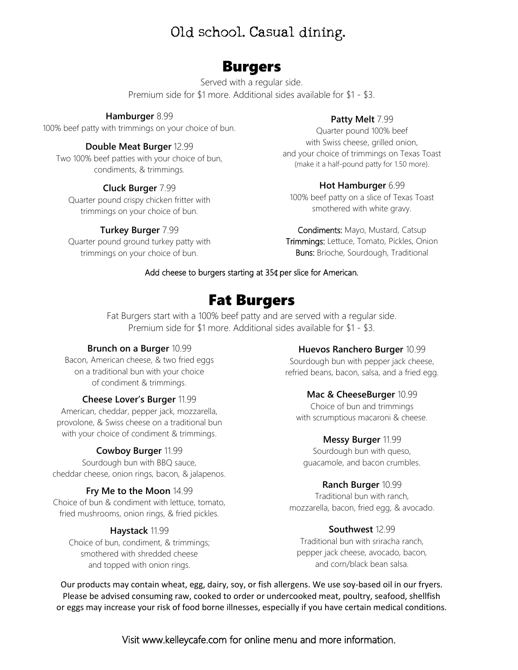### Old school. Casual dining.

### Burgers

Served with a regular side. Premium side for \$1 more. Additional sides available for \$1 - \$3.

### **Hamburger** 8.99

100% beef patty with trimmings on your choice of bun.

### **Double Meat Burger** 12.99

Two 100% beef patties with your choice of bun, condiments, & trimmings.

### **Cluck Burger** 7.99

Quarter pound crispy chicken fritter with trimmings on your choice of bun.

### **Turkey Burger** 7.99

Quarter pound ground turkey patty with trimmings on your choice of bun.

### **Patty Melt** 7.99

Quarter pound 100% beef with Swiss cheese, grilled onion, and your choice of trimmings on Texas Toast (make it a half-pound patty for 1.50 more).

### **Hot Hamburger** 6.99

100% beef patty on a slice of Texas Toast smothered with white gravy.

Condiments: Mayo, Mustard, Catsup Trimmings: Lettuce, Tomato, Pickles, Onion **Buns:** Brioche, Sourdough, Traditional

### Add cheese to burgers starting at 35¢ per slice for American.

### Fat Burgers

Fat Burgers start with a 100% beef patty and are served with a regular side. Premium side for \$1 more. Additional sides available for \$1 - \$3.

### **Brunch on a Burger** 10.99

Bacon, American cheese, & two fried eggs on a traditional bun with your choice of condiment & trimmings.

### **Cheese Lover's Burger** 11.99

American, cheddar, pepper jack, mozzarella, provolone, & Swiss cheese on a traditional bun with your choice of condiment & trimmings.

### **Cowboy Burger** 11.99

Sourdough bun with BBQ sauce, cheddar cheese, onion rings, bacon, & jalapenos.

### **Fry Me to the Moon** 14.99

Choice of bun & condiment with lettuce, tomato, fried mushrooms, onion rings, & fried pickles.

### **Haystack** 11.99

Choice of bun, condiment, & trimmings; smothered with shredded cheese and topped with onion rings.

### **Huevos Ranchero Burger** 10.99

Sourdough bun with pepper jack cheese, refried beans, bacon, salsa, and a fried egg.

### **Mac & CheeseBurger** 10.99

Choice of bun and trimmings with scrumptious macaroni & cheese.

### **Messy Burger** 11.99

Sourdough bun with queso, guacamole, and bacon crumbles.

### **Ranch Burger** 10.99

Traditional bun with ranch, mozzarella, bacon, fried egg, & avocado.

### **Southwest** 12.99

Traditional bun with sriracha ranch, pepper jack cheese, avocado, bacon, and corn/black bean salsa.

Our products may contain wheat, egg, dairy, soy, or fish allergens. We use soy-based oil in our fryers. Please be advised consuming raw, cooked to order or undercooked meat, poultry, seafood, shellfish or eggs may increase your risk of food borne illnesses, especially if you have certain medical conditions.

Visit [www.kelleycafe.com](http://www.kelleycafe.com/) for online menu and more information.